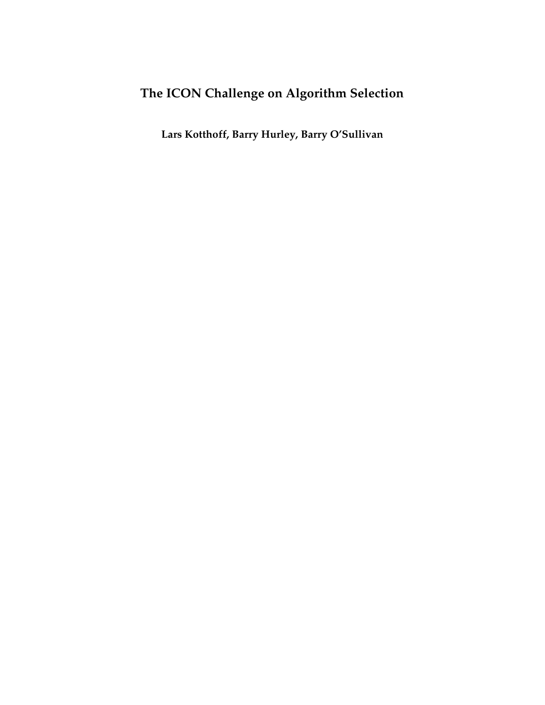# **The ICON Challenge on Algorithm Selection**

**Lars Kotthoff, Barry Hurley, Barry O'Sullivan**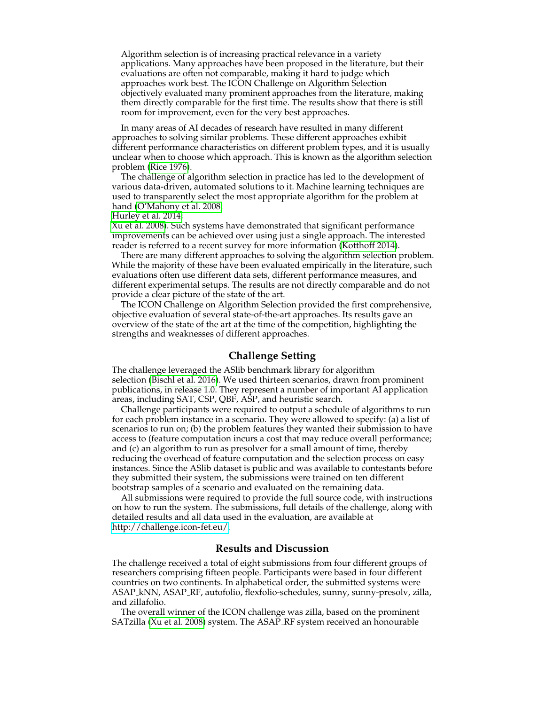Algorithm selection is of increasing practical relevance in a variety applications. Many approaches have been proposed in the literature, but their evaluations are often not comparable, making it hard to judge which approaches work best. The ICON Challenge on Algorithm Selection objectively evaluated many prominent approaches from the literature, making them directly comparable for the first time. The results show that there is still room for improvement, even for the very best approaches.

In many areas of AI decades of research have resulted in many different approaches to solving similar problems. These different approaches exhibit different performance characteristics on different problem types, and it is usually unclear when to choose which approach. This is known as the algorithm selection problem [\(Rice 1976\)](#page-3-0).

The challenge of algorithm selection in practice has led to the development of various data-driven, automated solutions to it. Machine learning techniques are used to transparently select the most appropriate algorithm for the problem at hand [\(O'Mahony et al. 2008;](#page-3-1)

[Hurley et al. 2014;](#page-3-2)

[Xu et al. 2008\)](#page-3-3). Such systems have demonstrated that significant performance improvements can be achieved over using just a single approach. The interested reader is referred to a recent survey for more information [\(Kotthoff 2014\)](#page-3-4).

There are many different approaches to solving the algorithm selection problem. While the majority of these have been evaluated empirically in the literature, such evaluations often use different data sets, different performance measures, and different experimental setups. The results are not directly comparable and do not provide a clear picture of the state of the art.

The ICON Challenge on Algorithm Selection provided the first comprehensive, objective evaluation of several state-of-the-art approaches. Its results gave an overview of the state of the art at the time of the competition, highlighting the strengths and weaknesses of different approaches.

#### **Challenge Setting**

The challenge leveraged the ASlib benchmark library for algorithm selection [\(Bischl et al. 2016\)](#page-3-5). We used thirteen scenarios, drawn from prominent publications, in release 1.0. They represent a number of important AI application areas, including SAT, CSP, QBF, ASP, and heuristic search.

Challenge participants were required to output a schedule of algorithms to run for each problem instance in a scenario. They were allowed to specify: (a) a list of scenarios to run on; (b) the problem features they wanted their submission to have access to (feature computation incurs a cost that may reduce overall performance; and (c) an algorithm to run as presolver for a small amount of time, thereby reducing the overhead of feature computation and the selection process on easy instances. Since the ASlib dataset is public and was available to contestants before they submitted their system, the submissions were trained on ten different bootstrap samples of a scenario and evaluated on the remaining data.

All submissions were required to provide the full source code, with instructions on how to run the system. The submissions, full details of the challenge, along with detailed results and all data used in the evaluation, are available at [http://challenge.icon-fet.eu/.](http://challenge.icon-fet.eu/)

### **Results and Discussion**

The challenge received a total of eight submissions from four different groups of researchers comprising fifteen people. Participants were based in four different countries on two continents. In alphabetical order, the submitted systems were ASAP kNN, ASAP RF, autofolio, flexfolio-schedules, sunny, sunny-presolv, zilla, and zillafolio.

The overall winner of the ICON challenge was zilla, based on the prominent SATzilla [\(Xu et al. 2008\)](#page-3-3) system. The ASAP RF system received an honourable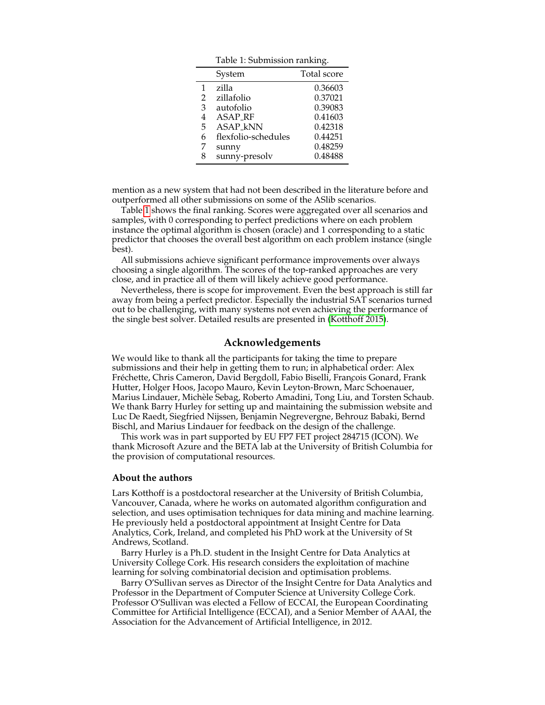<span id="page-2-0"></span>Table 1: Submission ranking.

|                | System              | Total score |
|----------------|---------------------|-------------|
| 1              | zilla               | 0.36603     |
| $\overline{2}$ | zillafolio          | 0.37021     |
| 3              | autofolio           | 0.39083     |
| 4              | <b>ASAP_RF</b>      | 0.41603     |
| 5              | <b>ASAP kNN</b>     | 0.42318     |
| 6              | flexfolio-schedules | 0.44251     |
| 7              | sunny               | 0.48259     |
|                | sunny-presolv       | 0.48488     |

mention as a new system that had not been described in the literature before and outperformed all other submissions on some of the ASlib scenarios.

Table [1](#page-2-0) shows the final ranking. Scores were aggregated over all scenarios and samples, with 0 corresponding to perfect predictions where on each problem instance the optimal algorithm is chosen (oracle) and 1 corresponding to a static predictor that chooses the overall best algorithm on each problem instance (single best).

All submissions achieve significant performance improvements over always choosing a single algorithm. The scores of the top-ranked approaches are very close, and in practice all of them will likely achieve good performance.

Nevertheless, there is scope for improvement. Even the best approach is still far away from being a perfect predictor. Especially the industrial SAT scenarios turned out to be challenging, with many systems not even achieving the performance of the single best solver. Detailed results are presented in [\(Kotthoff 2015\)](#page-3-6).

#### **Acknowledgements**

We would like to thank all the participants for taking the time to prepare submissions and their help in getting them to run; in alphabetical order: Alex Fréchette, Chris Cameron, David Bergdoll, Fabio Biselli, François Gonard, Frank Hutter, Holger Hoos, Jacopo Mauro, Kevin Leyton-Brown, Marc Schoenauer, Marius Lindauer, Michele Sebag, Roberto Amadini, Tong Liu, and Torsten Schaub. ` We thank Barry Hurley for setting up and maintaining the submission website and Luc De Raedt, Siegfried Nijssen, Benjamin Negrevergne, Behrouz Babaki, Bernd Bischl, and Marius Lindauer for feedback on the design of the challenge.

This work was in part supported by EU FP7 FET project 284715 (ICON). We thank Microsoft Azure and the BETA lab at the University of British Columbia for the provision of computational resources.

#### **About the authors**

Lars Kotthoff is a postdoctoral researcher at the University of British Columbia, Vancouver, Canada, where he works on automated algorithm configuration and selection, and uses optimisation techniques for data mining and machine learning. He previously held a postdoctoral appointment at Insight Centre for Data Analytics, Cork, Ireland, and completed his PhD work at the University of St Andrews, Scotland.

Barry Hurley is a Ph.D. student in the Insight Centre for Data Analytics at University College Cork. His research considers the exploitation of machine learning for solving combinatorial decision and optimisation problems.

Barry O'Sullivan serves as Director of the Insight Centre for Data Analytics and Professor in the Department of Computer Science at University College Cork. Professor O'Sullivan was elected a Fellow of ECCAI, the European Coordinating Committee for Artificial Intelligence (ECCAI), and a Senior Member of AAAI, the Association for the Advancement of Artificial Intelligence, in 2012.